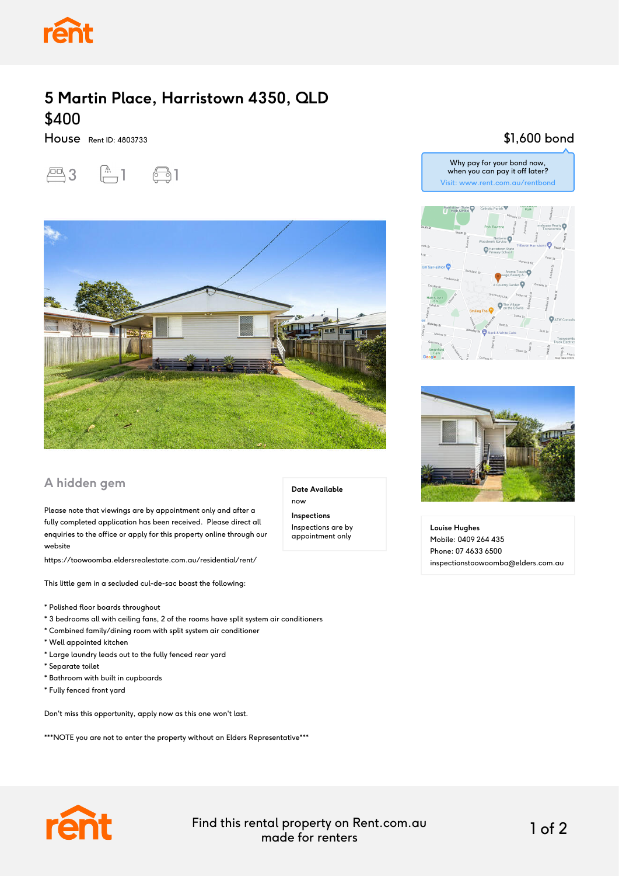

## **5 Martin Place, Harristown 4350, QLD** \$400

House Rent ID: 4803733





### **A hidden gem**

Please note that viewings are by appointment only and after a fully completed application has been received. Please direct all enquiries to the office or apply for this property online through our website

https://toowoomba.eldersrealestate.com.au/residential/rent/

This little gem in a secluded cul-de-sac boast the following:

- \* Polished floor boards throughout
- \* 3 bedrooms all with ceiling fans, 2 of the rooms have split system air conditioners
- \* Combined family/dining room with split system air conditioner
- \* Well appointed kitchen
- \* Large laundry leads out to the fully fenced rear yard
- \* Separate toilet
- \* Bathroom with built in cupboards
- \* Fully fenced front yard

Don't miss this opportunity, apply now as this one won't last.

\*\*\*NOTE you are not to enter the property without an Elders Representative\*\*\*

#### \$1,600 bond







**Louise Hughes** Mobile: 0409 264 435 Phone: 07 4633 6500 inspectionstoowoomba@elders.com.au



Find this rental property on Rent.com.au made for renters 1 of 2

**Date Available**

now **Inspections** Inspections are by appointment only